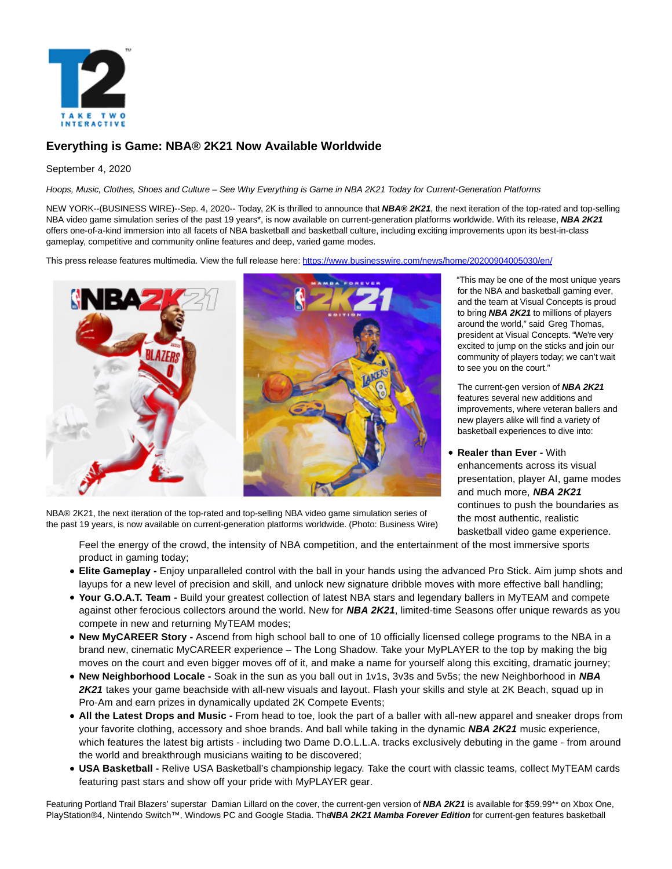

# **Everything is Game: NBA® 2K21 Now Available Worldwide**

## September 4, 2020

Hoops, Music, Clothes, Shoes and Culture – See Why Everything is Game in NBA 2K21 Today for Current-Generation Platforms

NEW YORK--(BUSINESS WIRE)--Sep. 4, 2020-- Today, 2K is thrilled to announce that **NBA® 2K21**, the next iteration of the top-rated and top-selling NBA video game simulation series of the past 19 years\*, is now available on current-generation platforms worldwide. With its release, **NBA 2K21** offers one-of-a-kind immersion into all facets of NBA basketball and basketball culture, including exciting improvements upon its best-in-class gameplay, competitive and community online features and deep, varied game modes.

This press release features multimedia. View the full release here:<https://www.businesswire.com/news/home/20200904005030/en/>



NBA® 2K21, the next iteration of the top-rated and top-selling NBA video game simulation series of the past 19 years, is now available on current-generation platforms worldwide. (Photo: Business Wire) "This may be one of the most unique years for the NBA and basketball gaming ever, and the team at Visual Concepts is proud to bring **NBA 2K21** to millions of players around the world," said Greg Thomas, president at Visual Concepts. "We're very excited to jump on the sticks and join our community of players today; we can't wait to see you on the court."

The current-gen version of **NBA 2K21** features several new additions and improvements, where veteran ballers and new players alike will find a variety of basketball experiences to dive into:

**Realer than Ever -** With enhancements across its visual presentation, player AI, game modes and much more, **NBA 2K21** continues to push the boundaries as the most authentic, realistic basketball video game experience.

Feel the energy of the crowd, the intensity of NBA competition, and the entertainment of the most immersive sports product in gaming today;

- **Elite Gameplay -** Enjoy unparalleled control with the ball in your hands using the advanced Pro Stick. Aim jump shots and layups for a new level of precision and skill, and unlock new signature dribble moves with more effective ball handling;
- **Your G.O.A.T. Team -** Build your greatest collection of latest NBA stars and legendary ballers in MyTEAM and compete against other ferocious collectors around the world. New for **NBA 2K21**, limited-time Seasons offer unique rewards as you compete in new and returning MyTEAM modes;
- **New MyCAREER Story -** Ascend from high school ball to one of 10 officially licensed college programs to the NBA in a brand new, cinematic MyCAREER experience – The Long Shadow. Take your MyPLAYER to the top by making the big moves on the court and even bigger moves off of it, and make a name for yourself along this exciting, dramatic journey;
- **New Neighborhood Locale -** Soak in the sun as you ball out in 1v1s, 3v3s and 5v5s; the new Neighborhood in **NBA 2K21** takes your game beachside with all-new visuals and layout. Flash your skills and style at 2K Beach, squad up in Pro-Am and earn prizes in dynamically updated 2K Compete Events;
- **All the Latest Drops and Music -** From head to toe, look the part of a baller with all-new apparel and sneaker drops from your favorite clothing, accessory and shoe brands. And ball while taking in the dynamic **NBA 2K21** music experience, which features the latest big artists - including two Dame D.O.L.L.A. tracks exclusively debuting in the game - from around the world and breakthrough musicians waiting to be discovered;
- **USA Basketball -** Relive USA Basketball's championship legacy. Take the court with classic teams, collect MyTEAM cards featuring past stars and show off your pride with MyPLAYER gear.

Featuring Portland Trail Blazers' superstar Damian Lillard on the cover, the current-gen version of **NBA 2K21** is available for \$59.99\*\* on Xbox One, PlayStation®4, Nintendo Switch™, Windows PC and Google Stadia. The NBA 2K21 Mamba Forever Edition for current-gen features basketball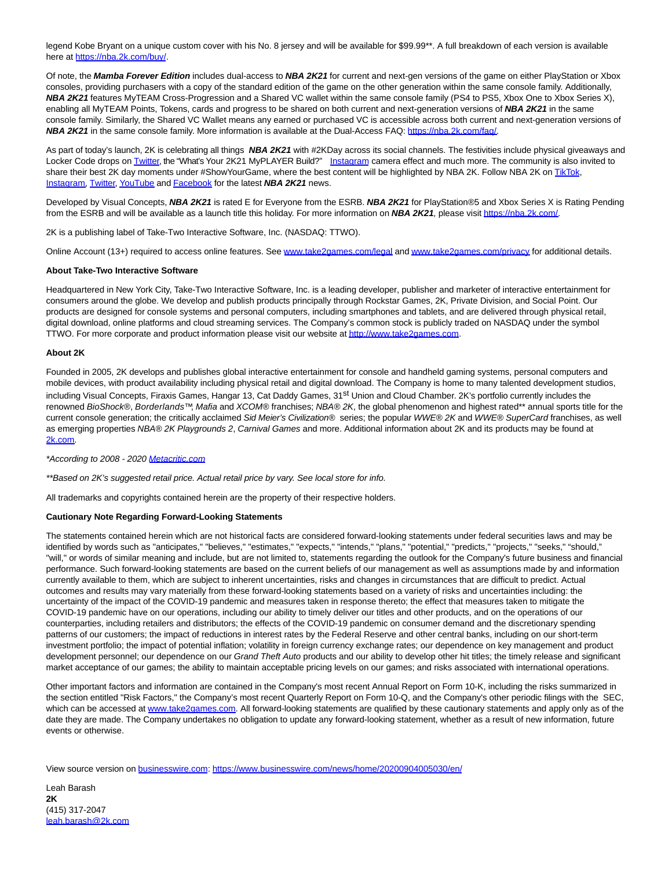legend Kobe Bryant on a unique custom cover with his No. 8 jersey and will be available for \$99.99\*\*. A full breakdown of each version is available here at [https://nba.2k.com/buy/.](https://cts.businesswire.com/ct/CT?id=smartlink&url=https%3A%2F%2Fnba.2k.com%2Fbuy%2F&esheet=52279290&newsitemid=20200904005030&lan=en-US&anchor=https%3A%2F%2Fnba.2k.com%2Fbuy%2F&index=1&md5=1710f65f7b792b8c31eb83a86aab4e61)

Of note, the **Mamba Forever Edition** includes dual-access to **NBA 2K21** for current and next-gen versions of the game on either PlayStation or Xbox consoles, providing purchasers with a copy of the standard edition of the game on the other generation within the same console family. Additionally, **NBA 2K21** features MyTEAM Cross-Progression and a Shared VC wallet within the same console family (PS4 to PS5, Xbox One to Xbox Series X), enabling all MyTEAM Points, Tokens, cards and progress to be shared on both current and next-generation versions of **NBA 2K21** in the same console family. Similarly, the Shared VC Wallet means any earned or purchased VC is accessible across both current and next-generation versions of **NBA 2K21** in the same console family. More information is available at the Dual-Access FAQ: [https://nba.2k.com/faq/.](https://cts.businesswire.com/ct/CT?id=smartlink&url=https%3A%2F%2Fnba.2k.com%2Ffaq%2F&esheet=52279290&newsitemid=20200904005030&lan=en-US&anchor=https%3A%2F%2Fnba.2k.com%2Ffaq%2F&index=2&md5=fe028f228a5f37c8db315a27f2bcf5c8)

As part of today's launch, 2K is celebrating all things **NBA 2K21** with #2KDay across its social channels. The festivities include physical giveaways and Locker Code drops o[n Twitter,](https://cts.businesswire.com/ct/CT?id=smartlink&url=https%3A%2F%2Ftwitter.com%2Fnba2k&esheet=52279290&newsitemid=20200904005030&lan=en-US&anchor=Twitter&index=3&md5=ec60bb97dfe57b02c9033cc2c50f2c0e) the "What's Your 2K21 MyPLAYER Build?" [Instagram c](https://cts.businesswire.com/ct/CT?id=smartlink&url=https%3A%2F%2Fwww.instagram.com%2Fnba2k%2F&esheet=52279290&newsitemid=20200904005030&lan=en-US&anchor=Instagram&index=4&md5=b3a240266ad348aff7f0f6d9aa4737bc)amera effect and much more. The community is also invited to share their best 2K day moments under #ShowYourGame, where the best content will be highlighted by NBA 2K. Follow NBA 2K on [TikTok,](https://cts.businesswire.com/ct/CT?id=smartlink&url=https%3A%2F%2Fvm.tiktok.com%2FJegYRWK%2F&esheet=52279290&newsitemid=20200904005030&lan=en-US&anchor=TikTok&index=5&md5=b1a4afa48da028d0ff674a910867551b) [Instagram,](https://cts.businesswire.com/ct/CT?id=smartlink&url=https%3A%2F%2Fwww.instagram.com%2Fnba2k%2F&esheet=52279290&newsitemid=20200904005030&lan=en-US&anchor=Instagram&index=6&md5=3e4547ebfb1373cf31e25040d35d1bf7) [Twitter,](https://cts.businesswire.com/ct/CT?id=smartlink&url=https%3A%2F%2Ftwitter.com%2Fnba2k&esheet=52279290&newsitemid=20200904005030&lan=en-US&anchor=Twitter&index=7&md5=3802aa8eca9277b3ae3ceffbed78a859) [YouTube a](https://cts.businesswire.com/ct/CT?id=smartlink&url=https%3A%2F%2Fwww.youtube.com%2Fchannel%2FUCYAJjqIukwm4r3GHEpJDhVw&esheet=52279290&newsitemid=20200904005030&lan=en-US&anchor=YouTube&index=8&md5=4bdd22f780e71504fcce039164a1a175)nd [Facebook f](https://cts.businesswire.com/ct/CT?id=smartlink&url=https%3A%2F%2Fwww.facebook.com%2FNBA2K%2F&esheet=52279290&newsitemid=20200904005030&lan=en-US&anchor=Facebook&index=9&md5=23be9fa43b5400cc3b2707f36a50ef6f)or the latest **NBA 2K21** news.

Developed by Visual Concepts, **NBA 2K21** is rated E for Everyone from the ESRB. **NBA 2K21** for PlayStation®5 and Xbox Series X is Rating Pending from the ESRB and will be available as a launch title this holiday. For more information on **NBA 2K21**, please visit [https://nba.2k.com/.](https://cts.businesswire.com/ct/CT?id=smartlink&url=https%3A%2F%2Fnba.2k.com%2F&esheet=52279290&newsitemid=20200904005030&lan=en-US&anchor=https%3A%2F%2Fnba.2k.com%2F&index=10&md5=d167f861e2b79ccd888834ad0813be85)

2K is a publishing label of Take-Two Interactive Software, Inc. (NASDAQ: TTWO).

Online Account (13+) required to access online features. See [www.take2games.com/legal a](https://cts.businesswire.com/ct/CT?id=smartlink&url=https%3A%2F%2Fwww.take2games.com%2Flegal&esheet=52279290&newsitemid=20200904005030&lan=en-US&anchor=www.take2games.com%2Flegal&index=11&md5=051ad8008493ea27ea5f4b8fb0aa92c5)n[d www.take2games.com/privacy f](https://cts.businesswire.com/ct/CT?id=smartlink&url=https%3A%2F%2Fwww.take2games.com%2Fprivacy&esheet=52279290&newsitemid=20200904005030&lan=en-US&anchor=www.take2games.com%2Fprivacy&index=12&md5=fda05906cd5a6b4fc2058397acd87ea5)or additional details.

### **About Take-Two Interactive Software**

Headquartered in New York City, Take-Two Interactive Software, Inc. is a leading developer, publisher and marketer of interactive entertainment for consumers around the globe. We develop and publish products principally through Rockstar Games, 2K, Private Division, and Social Point. Our products are designed for console systems and personal computers, including smartphones and tablets, and are delivered through physical retail, digital download, online platforms and cloud streaming services. The Company's common stock is publicly traded on NASDAQ under the symbol TTWO. For more corporate and product information please visit our website a[t http://www.take2games.com.](https://cts.businesswire.com/ct/CT?id=smartlink&url=http%3A%2F%2Fwww.take2games.com&esheet=52279290&newsitemid=20200904005030&lan=en-US&anchor=http%3A%2F%2Fwww.take2games.com&index=13&md5=2ac2ac2471e4e2220bf0214a1fa4dfba)

## **About 2K**

Founded in 2005, 2K develops and publishes global interactive entertainment for console and handheld gaming systems, personal computers and mobile devices, with product availability including physical retail and digital download. The Company is home to many talented development studios, including Visual Concepts, Firaxis Games, Hangar 13, Cat Daddy Games, 31<sup>st</sup> Union and Cloud Chamber. 2K's portfolio currently includes the renowned BioShock®, Borderlands™, Mafia and XCOM® franchises; NBA® 2K, the global phenomenon and highest rated\*\* annual sports title for the current console generation; the critically acclaimed Sid Meier's Civilization® series; the popular WWE® 2K and WWE® SuperCard franchises, as well as emerging properties NBA® 2K Playgrounds 2, Carnival Games and more. Additional information about 2K and its products may be found at [2k.com.](https://cts.businesswire.com/ct/CT?id=smartlink&url=http%3A%2F%2Fwww.2k.com%2F&esheet=52279290&newsitemid=20200904005030&lan=en-US&anchor=2k.com&index=14&md5=f4ab829522a20ee828acaceacf171980)

#### \*According to 2008 - 2020 [Metacritic.com](https://cts.businesswire.com/ct/CT?id=smartlink&url=http%3A%2F%2Fmetacritic.com&esheet=52279290&newsitemid=20200904005030&lan=en-US&anchor=Metacritic.com&index=15&md5=b5b41be49c55f8fc88072bb47d6ee47b)

\*\*Based on 2K's suggested retail price. Actual retail price by vary. See local store for info.

All trademarks and copyrights contained herein are the property of their respective holders.

#### **Cautionary Note Regarding Forward-Looking Statements**

The statements contained herein which are not historical facts are considered forward-looking statements under federal securities laws and may be identified by words such as "anticipates," "believes," "estimates," "expects," "intends," "plans," "potential," "predicts," "projects," "seeks," "should," "will," or words of similar meaning and include, but are not limited to, statements regarding the outlook for the Company's future business and financial performance. Such forward-looking statements are based on the current beliefs of our management as well as assumptions made by and information currently available to them, which are subject to inherent uncertainties, risks and changes in circumstances that are difficult to predict. Actual outcomes and results may vary materially from these forward-looking statements based on a variety of risks and uncertainties including: the uncertainty of the impact of the COVID-19 pandemic and measures taken in response thereto; the effect that measures taken to mitigate the COVID-19 pandemic have on our operations, including our ability to timely deliver our titles and other products, and on the operations of our counterparties, including retailers and distributors; the effects of the COVID-19 pandemic on consumer demand and the discretionary spending patterns of our customers; the impact of reductions in interest rates by the Federal Reserve and other central banks, including on our short-term investment portfolio; the impact of potential inflation; volatility in foreign currency exchange rates; our dependence on key management and product development personnel; our dependence on our Grand Theft Auto products and our ability to develop other hit titles; the timely release and significant market acceptance of our games; the ability to maintain acceptable pricing levels on our games; and risks associated with international operations.

Other important factors and information are contained in the Company's most recent Annual Report on Form 10-K, including the risks summarized in the section entitled "Risk Factors," the Company's most recent Quarterly Report on Form 10-Q, and the Company's other periodic filings with the SEC, which can be accessed at [www.take2games.com.](https://cts.businesswire.com/ct/CT?id=smartlink&url=http%3A%2F%2Fwww.take2games.com&esheet=52279290&newsitemid=20200904005030&lan=en-US&anchor=www.take2games.com&index=16&md5=f599b95f8c177d4f26bb0d60f6e1fe4b) All forward-looking statements are qualified by these cautionary statements and apply only as of the date they are made. The Company undertakes no obligation to update any forward-looking statement, whether as a result of new information, future events or otherwise.

View source version on [businesswire.com:](http://businesswire.com/)<https://www.businesswire.com/news/home/20200904005030/en/>

Leah Barash **2K** (415) 317-2047 [leah.barash@2k.com](mailto:leah.barash@2k.com)